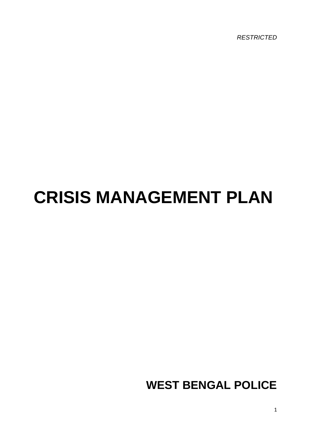*RESTRICTED*

# **CRISIS MANAGEMENT PLAN**

**WEST BENGAL POLICE**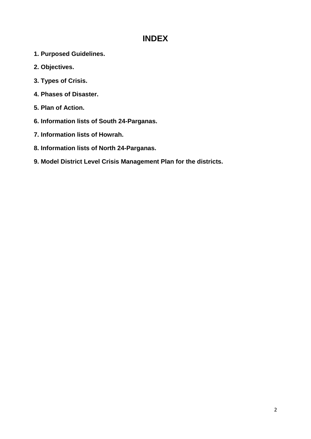# **INDEX**

- **1. Purposed Guidelines.**
- **2. Objectives.**
- **3. Types of Crisis.**
- **4. Phases of Disaster.**
- **5. Plan of Action.**
- **6. Information lists of South 24-Parganas.**
- **7. Information lists of Howrah.**
- **8. Information lists of North 24-Parganas.**
- **9. Model District Level Crisis Management Plan for the districts.**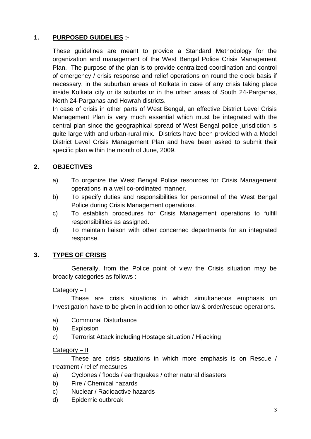# **1. PURPOSED GUIDELIES :-**

These guidelines are meant to provide a Standard Methodology for the organization and management of the West Bengal Police Crisis Management Plan. The purpose of the plan is to provide centralized coordination and control of emergency / crisis response and relief operations on round the clock basis if necessary, in the suburban areas of Kolkata in case of any crisis taking place inside Kolkata city or its suburbs or in the urban areas of South 24-Parganas, North 24-Parganas and Howrah districts.

In case of crisis in other parts of West Bengal, an effective District Level Crisis Management Plan is very much essential which must be integrated with the central plan since the geographical spread of West Bengal police jurisdiction is quite large with and urban-rural mix. Districts have been provided with a Model District Level Crisis Management Plan and have been asked to submit their specific plan within the month of June, 2009.

# **2. OBJECTIVES**

- a) To organize the West Bengal Police resources for Crisis Management operations in a well co-ordinated manner.
- b) To specify duties and responsibilities for personnel of the West Bengal Police during Crisis Management operations.
- c) To establish procedures for Crisis Management operations to fulfill responsibilities as assigned.
- d) To maintain liaison with other concerned departments for an integrated response.

# **3. TYPES OF CRISIS**

Generally, from the Police point of view the Crisis situation may be broadly categories as follows :

Category – I

These are crisis situations in which simultaneous emphasis on Investigation have to be given in addition to other law & order/rescue operations.

- a) Communal Disturbance
- b) Explosion
- c) Terrorist Attack including Hostage situation / Hijacking

#### Category – II

These are crisis situations in which more emphasis is on Rescue / treatment / relief measures

- a) Cyclones / floods / earthquakes / other natural disasters
- b) Fire / Chemical hazards
- c) Nuclear / Radioactive hazards
- d) Epidemic outbreak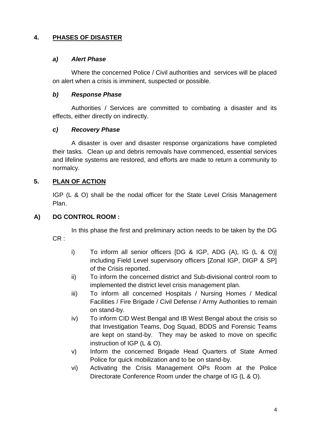#### **4. PHASES OF DISASTER**

#### *a) Alert Phase*

Where the concerned Police / Civil authorities and services will be placed on alert when a crisis is imminent, suspected or possible.

#### *b) Response Phase*

Authorities / Services are committed to combating a disaster and its effects, either directly on indirectly.

#### *c) Recovery Phase*

A disaster is over and disaster response organizations have completed their tasks. Clean up and debris removals have commenced, essential services and lifeline systems are restored, and efforts are made to return a community to normalcy.

### **5. PLAN OF ACTION**

IGP (L & O) shall be the nodal officer for the State Level Crisis Management Plan.

#### **A) DG CONTROL ROOM :**

In this phase the first and preliminary action needs to be taken by the DG CR :

- i) To inform all senior officers [DG & IGP, ADG (A), IG (L & O)] including Field Level supervisory officers [Zonal IGP, DIGP & SP] of the Crisis reported.
- ii) To inform the concerned district and Sub-divisional control room to implemented the district level crisis management plan.
- iii) To inform all concerned Hospitals / Nursing Homes / Medical Facilities / Fire Brigade / Civil Defense / Army Authorities to remain on stand-by.
- iv) To inform CID West Bengal and IB West Bengal about the crisis so that Investigation Teams, Dog Squad, BDDS and Forensic Teams are kept on stand-by. They may be asked to move on specific instruction of IGP (L & O).
- v) Inform the concerned Brigade Head Quarters of State Armed Police for quick mobilization and to be on stand-by.
- vi) Activating the Crisis Management OPs Room at the Police Directorate Conference Room under the charge of IG (L & O).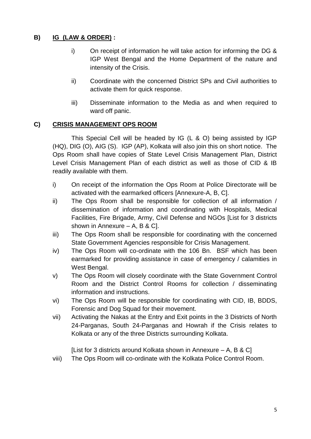# **B) IG (LAW & ORDER) :**

- i) On receipt of information he will take action for informing the DG & IGP West Bengal and the Home Department of the nature and intensity of the Crisis.
- ii) Coordinate with the concerned District SPs and Civil authorities to activate them for quick response.
- iii) Disseminate information to the Media as and when required to ward off panic.

### **C) CRISIS MANAGEMENT OPS ROOM**

This Special Cell will be headed by IG (L & O) being assisted by IGP (HQ), DIG (O), AIG (S). IGP (AP), Kolkata will also join this on short notice. The Ops Room shall have copies of State Level Crisis Management Plan, District Level Crisis Management Plan of each district as well as those of CID & IB readily available with them.

- i) On receipt of the information the Ops Room at Police Directorate will be activated with the earmarked officers [Annexure-A, B, C].
- ii) The Ops Room shall be responsible for collection of all information / dissemination of information and coordinating with Hospitals, Medical Facilities, Fire Brigade, Army, Civil Defense and NGOs [List for 3 districts shown in Annexure – A, B & C].
- iii) The Ops Room shall be responsible for coordinating with the concerned State Government Agencies responsible for Crisis Management.
- iv) The Ops Room will co-ordinate with the 106 Bn. BSF which has been earmarked for providing assistance in case of emergency / calamities in West Bengal.
- v) The Ops Room will closely coordinate with the State Government Control Room and the District Control Rooms for collection / disseminating information and instructions.
- vi) The Ops Room will be responsible for coordinating with CID, IB, BDDS, Forensic and Dog Squad for their movement.
- vii) Activating the Nakas at the Entry and Exit points in the 3 Districts of North 24-Parganas, South 24-Parganas and Howrah if the Crisis relates to Kolkata or any of the three Districts surrounding Kolkata.

[List for 3 districts around Kolkata shown in Annexure – A, B & C]

viii) The Ops Room will co-ordinate with the Kolkata Police Control Room.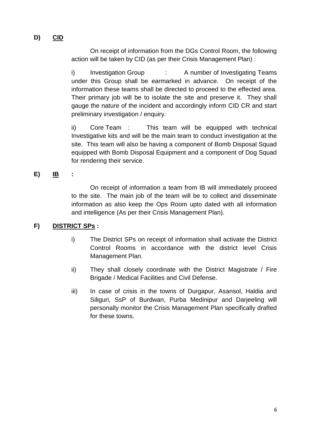# **D) CID**

On receipt of information from the DGs Control Room, the following action will be taken by CID (as per their Crisis Management Plan) :

i) Investigation Group : A number of Investigating Teams under this Group shall be earmarked in advance. On receipt of the information these teams shall be directed to proceed to the effected area. Their primary job will be to isolate the site and preserve it. They shall gauge the nature of the incident and accordingly inform CID CR and start preliminary investigation / enquiry.

ii) Core Team : This team will be equipped with technical Investigative kits and will be the main team to conduct investigation at the site. This team will also be having a component of Bomb Disposal Squad equipped with Bomb Disposal Equipment and a component of Dog Squad for rendering their service.

#### **E) IB :**

On receipt of information a team from IB will immediately proceed to the site. The main job of the team will be to collect and disseminate information as also keep the Ops Room upto dated with all information and intelligence (As per their Crisis Management Plan).

#### **F) DISTRICT SPs :**

- i) The District SPs on receipt of information shall activate the District Control Rooms in accordance with the district level Crisis Management Plan.
- ii) They shall closely coordinate with the District Magistrate / Fire Brigade / Medical Facilities and Civil Defense.
- iii) In case of crisis in the towns of Durgapur, Asansol, Haldia and Siliguri, SsP of Burdwan, Purba Medinipur and Darjeeling will personally monitor the Crisis Management Plan specifically drafted for these towns.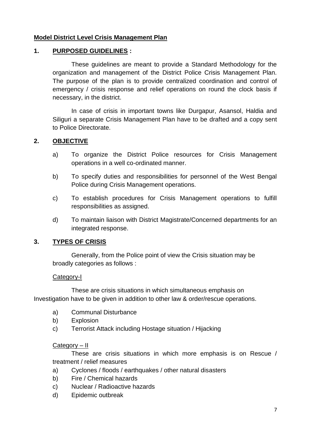#### **Model District Level Crisis Management Plan**

#### **1. PURPOSED GUIDELINES :**

These guidelines are meant to provide a Standard Methodology for the organization and management of the District Police Crisis Management Plan. The purpose of the plan is to provide centralized coordination and control of emergency / crisis response and relief operations on round the clock basis if necessary, in the district.

In case of crisis in important towns like Durgapur, Asansol, Haldia and Siliguri a separate Crisis Management Plan have to be drafted and a copy sent to Police Directorate.

#### **2. OBJECTIVE**

- a) To organize the District Police resources for Crisis Management operations in a well co-ordinated manner.
- b) To specify duties and responsibilities for personnel of the West Bengal Police during Crisis Management operations.
- c) To establish procedures for Crisis Management operations to fulfill responsibilities as assigned.
- d) To maintain liaison with District Magistrate/Concerned departments for an integrated response.

#### **3. TYPES OF CRISIS**

Generally, from the Police point of view the Crisis situation may be broadly categories as follows :

#### Category-I

These are crisis situations in which simultaneous emphasis on Investigation have to be given in addition to other law & order/rescue operations.

- a) Communal Disturbance
- b) Explosion
- c) Terrorist Attack including Hostage situation / Hijacking

#### Category – II

These are crisis situations in which more emphasis is on Rescue / treatment / relief measures

- a) Cyclones / floods / earthquakes / other natural disasters
- b) Fire / Chemical hazards
- c) Nuclear / Radioactive hazards
- d) Epidemic outbreak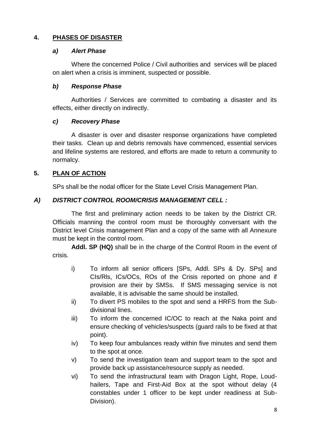### **4. PHASES OF DISASTER**

#### *a) Alert Phase*

Where the concerned Police / Civil authorities and services will be placed on alert when a crisis is imminent, suspected or possible.

#### *b) Response Phase*

Authorities / Services are committed to combating a disaster and its effects, either directly on indirectly.

#### *c) Recovery Phase*

A disaster is over and disaster response organizations have completed their tasks. Clean up and debris removals have commenced, essential services and lifeline systems are restored, and efforts are made to return a community to normalcy.

#### **5. PLAN OF ACTION**

SPs shall be the nodal officer for the State Level Crisis Management Plan.

#### *A) DISTRICT CONTROL ROOM/CRISIS MANAGEMENT CELL :*

The first and preliminary action needs to be taken by the District CR. Officials manning the control room must be thoroughly conversant with the District level Crisis management Plan and a copy of the same with all Annexure must be kept in the control room.

**Addl. SP (HQ)** shall be in the charge of the Control Room in the event of crisis.

- i) To inform all senior officers [SPs, Addl. SPs & Dy. SPs] and CIs/Rls, ICs/OCs, ROs of the Crisis reported on phone and if provision are their by SMSs. If SMS messaging service is not available, it is advisable the same should be installed.
- ii) To divert PS mobiles to the spot and send a HRFS from the Subdivisional lines.
- iii) To inform the concerned IC/OC to reach at the Naka point and ensure checking of vehicles/suspects (guard rails to be fixed at that point).
- iv) To keep four ambulances ready within five minutes and send them to the spot at once.
- v) To send the investigation team and support team to the spot and provide back up assistance/resource supply as needed.
- vi) To send the infrastructural team with Dragon Light, Rope, Loudhailers, Tape and First-Aid Box at the spot without delay (4 constables under 1 officer to be kept under readiness at Sub-Division).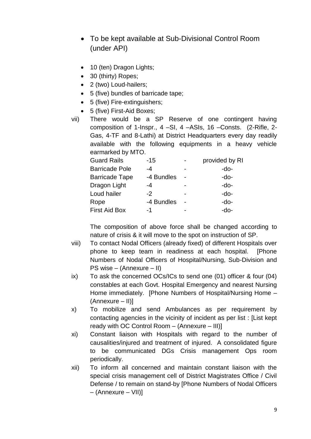- To be kept available at Sub-Divisional Control Room (under API)
- 10 (ten) Dragon Lights;
- 30 (thirty) Ropes;
- 2 (two) Loud-hailers;
- 5 (five) bundles of barricade tape;
- 5 (five) Fire-extinguishers;
- 5 (five) First-Aid Boxes;

vii) There would be a SP Reserve of one contingent having composition of 1-Inspr., 4 –SI, 4 –ASIs, 16 –Consts. (2-Rifle, 2- Gas, 4-TF and 8-Lathi) at District Headquarters every day readily available with the following equipments in a heavy vehicle earmarked by MTO.

| $-15$      | provided by RI |
|------------|----------------|
| -4         | -do-           |
| -4 Bundles | -do-           |
| -4         | -do-           |
| -2         | -do-           |
| -4 Bundles | -do-           |
| -1         | -do-           |
|            |                |

The composition of above force shall be changed according to nature of crisis & it will move to the spot on instruction of SP.

- viii) To contact Nodal Officers (already fixed) of different Hospitals over phone to keep team in readiness at each hospital. [Phone Numbers of Nodal Officers of Hospital/Nursing, Sub-Division and PS wise – (Annexure – II)
- ix) To ask the concerned OCs/ICs to send one (01) officer & four (04) constables at each Govt. Hospital Emergency and nearest Nursing Home immediately. [Phone Numbers of Hospital/Nursing Home – (Annexure – II)]
- x) To mobilize and send Ambulances as per requirement by contacting agencies in the vicinity of incident as per list : [List kept ready with OC Control Room – (Annexure – III)]
- xi) Constant liaison with Hospitals with regard to the number of causalities/injured and treatment of injured. A consolidated figure to be communicated DGs Crisis management Ops room periodically.
- xii) To inform all concerned and maintain constant liaison with the special crisis management cell of District Magistrates Office / Civil Defense / to remain on stand-by [Phone Numbers of Nodal Officers – (Annexure – VII)]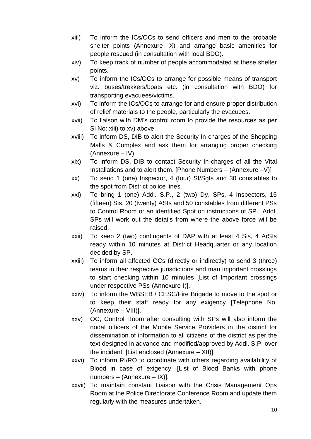- xiii) To inform the ICs/OCs to send officers and men to the probable shelter points (Annexure- X) and arrange basic amenities for people rescued (in consultation with local BDO).
- xiv) To keep track of number of people accommodated at these shelter points.
- xv) To inform the ICs/OCs to arrange for possible means of transport viz. buses/trekkers/boats etc. (in consultation with BDO) for transporting evacuees/victims.
- xvi) To inform the ICs/OCs to arrange for and ensure proper distribution of relief materials to the people, particularly the evacuees.
- xvii) To liaison with DM's control room to provide the resources as per SI No: xiii) to xv) above
- xviii) To inform DS, DIB to alert the Security In-charges of the Shopping Malls & Complex and ask them for arranging proper checking (Annexure – IV):
- xix) To inform DS, DIB to contact Security In-charges of all the Vital Installations and to alert them. [Phone Numbers – (Annexure –V)]
- xx) To send 1 (one) Inspector, 4 (four) SI/Sgts and 30 constables to the spot from District police lines.
- xxi) To bring 1 (one) Addl. S.P., 2 (two) Dy. SPs, 4 Inspectors, 15 (fifteen) Sis, 20 (twenty) ASIs and 50 constables from different PSs to Control Room or an identified Spot on instructions of SP. Addl. SPs will work out the details from where the above force will be raised.
- xxii) To keep 2 (two) contingents of DAP with at least 4 Sis, 4 ArSIs ready within 10 minutes at District Headquarter or any location decided by SP.
- xxiii) To inform all affected OCs (directly or indirectly) to send 3 (three) teams in their respective jurisdictions and man important crossings to start checking within 10 minutes [List of Important crossings under respective PSs-(Annexure-I)].
- xxiv) To inform the WBSEB / CESC/Fire Brigade to move to the spot or to keep their staff ready for any exigency [Telephone No. (Annexure – VIII)].
- xxv) OC, Control Room after consulting with SPs will also inform the nodal officers of the Mobile Service Providers in the district for dissemination of information to all citizens of the district as per the text designed in advance and modified/approved by Addl. S.P. over the incident. [List enclosed (Annexure – XII)].
- xxvi) To inform RI/RO to coordinate with others regarding availability of Blood in case of exigency. [List of Blood Banks with phone numbers – (Annexure – IX)].
- xxvii) To maintain constant Liaison with the Crisis Management Ops Room at the Police Directorate Conference Room and update them regularly with the measures undertaken.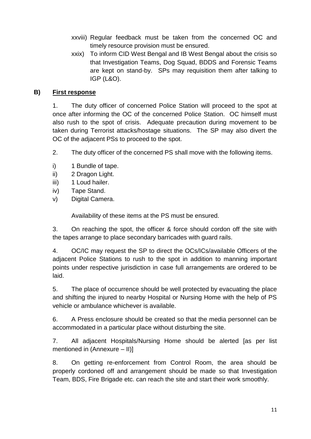- xxviii) Regular feedback must be taken from the concerned OC and timely resource provision must be ensured.
- xxix) To inform CID West Bengal and IB West Bengal about the crisis so that Investigation Teams, Dog Squad, BDDS and Forensic Teams are kept on stand-by. SPs may requisition them after talking to IGP (L&O).

#### **B) First response**

1. The duty officer of concerned Police Station will proceed to the spot at once after informing the OC of the concerned Police Station. OC himself must also rush to the spot of crisis. Adequate precaution during movement to be taken during Terrorist attacks/hostage situations. The SP may also divert the OC of the adjacent PSs to proceed to the spot.

- 2. The duty officer of the concerned PS shall move with the following items.
- i) 1 Bundle of tape.
- ii) 2 Dragon Light.
- iii) 1 Loud hailer.
- iv) Tape Stand.
- v) Digital Camera.

Availability of these items at the PS must be ensured.

3. On reaching the spot, the officer & force should cordon off the site with the tapes arrange to place secondary barricades with guard rails.

4. OC/IC may request the SP to direct the OCs/ICs/available Officers of the adjacent Police Stations to rush to the spot in addition to manning important points under respective jurisdiction in case full arrangements are ordered to be laid.

5. The place of occurrence should be well protected by evacuating the place and shifting the injured to nearby Hospital or Nursing Home with the help of PS vehicle or ambulance whichever is available.

6. A Press enclosure should be created so that the media personnel can be accommodated in a particular place without disturbing the site.

7. All adjacent Hospitals/Nursing Home should be alerted [as per list mentioned in (Annexure – II)]

8. On getting re-enforcement from Control Room, the area should be properly cordoned off and arrangement should be made so that Investigation Team, BDS, Fire Brigade etc. can reach the site and start their work smoothly.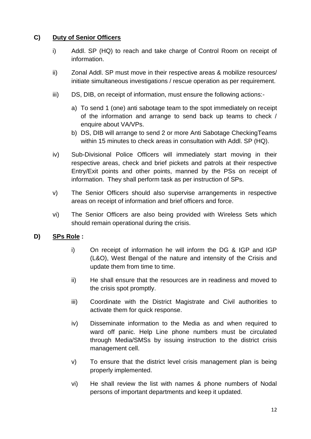#### **C) Duty of Senior Officers**

- i) Addl. SP (HQ) to reach and take charge of Control Room on receipt of information.
- ii) Zonal Addl. SP must move in their respective areas & mobilize resources/ initiate simultaneous investigations / rescue operation as per requirement.
- iii) DS, DIB, on receipt of information, must ensure the following actions:
	- a) To send 1 (one) anti sabotage team to the spot immediately on receipt of the information and arrange to send back up teams to check / enquire about VA/VPs.
	- b) DS, DIB will arrange to send 2 or more Anti Sabotage CheckingTeams within 15 minutes to check areas in consultation with Addl. SP (HQ).
- iv) Sub-Divisional Police Officers will immediately start moving in their respective areas, check and brief pickets and patrols at their respective Entry/Exit points and other points, manned by the PSs on receipt of information. They shall perform task as per instruction of SPs.
- v) The Senior Officers should also supervise arrangements in respective areas on receipt of information and brief officers and force.
- vi) The Senior Officers are also being provided with Wireless Sets which should remain operational during the crisis.

# **D) SPs Role :**

- i) On receipt of information he will inform the DG & IGP and IGP (L&O), West Bengal of the nature and intensity of the Crisis and update them from time to time.
- ii) He shall ensure that the resources are in readiness and moved to the crisis spot promptly.
- iii) Coordinate with the District Magistrate and Civil authorities to activate them for quick response.
- iv) Disseminate information to the Media as and when required to ward off panic. Help Line phone numbers must be circulated through Media/SMSs by issuing instruction to the district crisis management cell.
- v) To ensure that the district level crisis management plan is being properly implemented.
- vi) He shall review the list with names & phone numbers of Nodal persons of important departments and keep it updated.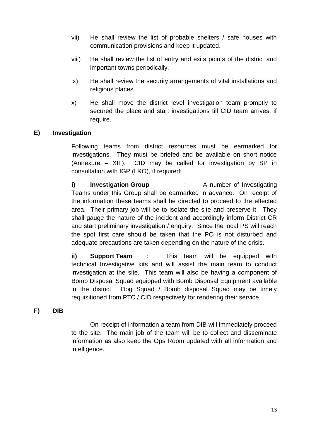- vii) He shall review the list of probable shelters / safe houses with communication provisions and keep it updated.
- viii) He shall review the list of entry and exits points of the district and important towns periodically.
- ix) He shall review the security arrangements of vital installations and religious places.
- x) He shall move the district level investigation team promptly to secured the place and start investigations till CID team arrives, if require.

#### **E) Investigation**

Following teams from district resources must be earmarked for investigations. They must be briefed and be available on short notice (Annexure – XIII). CID may be called for investigation by SP in consultation with IGP (L&O), if required:

**i) Investigation Group** : A number of Investigating Teams under this Group shall be earmarked in advance. On receipt of the information these teams shall be directed to proceed to the effected area. Their primary job will be to isolate the site and preserve it. They shall gauge the nature of the incident and accordingly inform District CR and start preliminary investigation / enquiry. Since the local PS will reach the spot first care should be taken that the PO is not disturbed and adequate precautions are taken depending on the nature of the crisis.

**ii) Support Team** : This team will be equipped with technical Investigative kits and will assist the main team to conduct investigation at the site. This team will also be having a component of Bomb Disposal Squad equipped with Bomb Disposal Equipment available in the district. Dog Squad / Bomb disposal Squad may be timely requisitioned from PTC / CID respectively for rendering their service.

**F) DIB**

On receipt of information a team from DIB will immediately proceed to the site. The main job of the team will be to collect and disseminate information as also keep the Ops Room updated with all information and intelligence.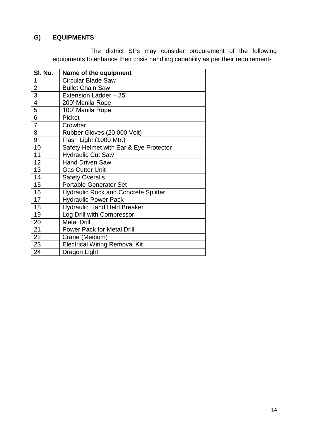# **G) EQUIPMENTS**

The district SPs may consider procurement of the following equipments to enhance their crisis handling capability as per their requirement-

| SI. No.        | Name of the equipment                       |
|----------------|---------------------------------------------|
| 1              | <b>Circular Blade Saw</b>                   |
| $\overline{2}$ | <b>Bullet Chain Saw</b>                     |
| $\overline{3}$ | Extension Ladder - 35'                      |
| $\overline{4}$ | 200' Manila Rope                            |
| 5              | 100' Manila Rope                            |
| $\overline{6}$ | Picket                                      |
| $\overline{7}$ | Crowbar                                     |
| 8              | Rubber Gloves (20,000 Volt)                 |
| 9              | Flash Light (1000 Mtr.)                     |
| 10             | Safety Helmet with Ear & Eye Protector      |
| 11             | <b>Hydraulic Cut Saw</b>                    |
| 12             | <b>Hand Driven Saw</b>                      |
| 13             | <b>Gas Cutter Unit</b>                      |
| 14             | <b>Safety Overalls</b>                      |
| 15             | <b>Portable Generator Set</b>               |
| 16             | <b>Hydraulic Rock and Concrete Splitter</b> |
| 17             | <b>Hydraulic Power Pack</b>                 |
| 18             | <b>Hydraulic Hand Held Breaker</b>          |
| 19             | Log Drill with Compressor                   |
| 20             | <b>Metal Drill</b>                          |
| 21             | <b>Power Pack for Metal Drill</b>           |
| 22             | Crane (Medium)                              |
| 23             | <b>Electrical Wiring Removal Kit</b>        |
| 24             | Dragon Light                                |